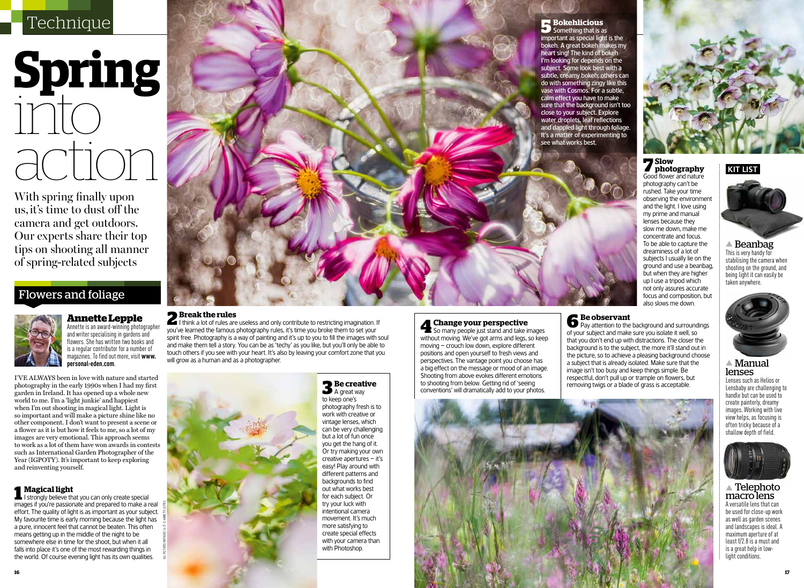# **Spring** into acti

With spring finally upon us, it's time to dust off the camera and get outdoors. Our experts share their top tips on shooting all manner of spring-related subjects

# Flowers and foliage



**Annette Lepple** Annette is an award-winning photographer and writer specialising in gardens and flowers. She has written two books and is a regular contributor for a number of magazines. To find out more, visit **www. personal-eden.com**.

I've always been in love with nature and started photography in the early 1990s when I had my first garden in Ireland. It has opened up a whole new world to me. I'm a 'light junkie' and happiest when I'm out shooting in magical light. Light is so important and will make a picture shine like no other component. I don't want to present a scene or a flower as it is but how it feels to me, so a lot of my images are very emotional. This approach seems to work as a lot of them have won awards in contests such as International Garden Photographer of the Year (IGPOTY). It's important to keep exploring and reinventing yourself.

**1 Magical light 1 I** strongly believe that you can only create special images if you're passionate and prepared to make a real effort. The quality of light is as important as your subject. My favourite time is early morning because the light has a pure, innocent feel that cannot be beaten. This often means getting up in the middle of the night to be somewhere else in time for the shoot, but when it all falls into place it's one of the most rewarding things in the world. Of course evening light has its own qualities.

all pictures on pages 16-17 © annette lepple



**2 Break the rules** I think a lot of rules are useless and only contribute to restricting imagination. If you've learned the famous photography rules, it's time you broke them to set your spirit free. Photography is a way of painting and it's up to you to fill the images with soul and make them tell a story. You can be as 'techy' as you like, but you'll only be able to touch others if you see with your heart. It's also by leaving your comfort zone that you will grow as a human and as a photographer.

# **3 Be creative**  A great way

to keep one's photography fresh is to work with creative or vintage lenses, which can be very challenging but a lot of fun once you get the hang of it. Or try making your own creative apertures – it's easy! Play around with different patterns and backgrounds to find out what works best for each subject. Or try your luck with intentional camera movement. It's much more satisfying to create special effects with your camera than with Photoshop.

# **4 Change your perspective**<br> **4** So many people just stand and take images

without moving. We've got arms and legs, so keep moving – crouch low down, explore different positions and open yourself to fresh views and perspectives. The vantage point you choose has a big effect on the message or mood of an image. Shooting from above evokes different emotions to shooting from below. Getting rid of 'seeing conventions' will dramatically add to your photos.

**6 Be observant** Pay attention to the background and surroundings of your subject and make sure you isolate it well, so that you don't end up with distractions. The closer the background is to the subject, the more it'll stand out in the picture, so to achieve a pleasing background choose a subject that is already isolated. Make sure that the image isn't too busy and keep things simple. Be respectful, don't pull up or trample on flowers, but removing twigs or a blade of grass is acceptable.



▲ Telephoto macro lens

A versatile lens that can be used for close-up work as well as garden scenes and landscapes is ideal. A maximum aperture of at least f/2.8 is a must and is a great help in lowlight conditions.

▲ Manual

Lenses such as Helios or Lensbaby are challenging to handle but can be used to create painterly, dreamy images. Working with live view helps, as focusing is often tricky because of a shallow depth of field.

lenses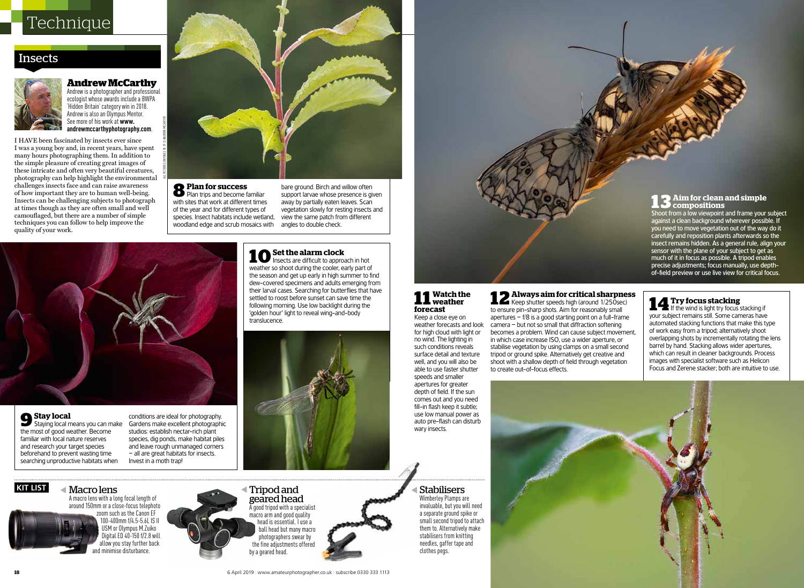## Insects



### **Andrew McCarthy** Andrew is a photographer and professional

ecologist whose awards include a BWPA 'Hidden Britain' category win in 2018. Andrew is also an Olympus Mentor. See more of his work at **www. andrewmccarthyphotography.com**.

all pictures on pages 18-19 © andrew mccarthy

I HAVE been fascinated by insects ever since I was a young boy and, in recent years, have spent many hours photographing them. In addition to the simple pleasure of creating great images of these intricate and often very beautiful creatures, photography can help highlight the environmental challenges insects face and can raise awareness of how important they are to human well-being. Insects can be challenging subjects to photograph at times though as they are often small and well camouflaged, but there are a number of simple techniques you can follow to help improve the quality of your work.



# **8Plan for success** Plan trips and become familiar

with sites that work at different times of the year and for different types of species. Insect habitats include wetland, woodland edge and scrub mosaics with

 $\triangleleft$ 

Tripod and

by a geared head.

geared head A good tripod with a specialist macro arm and good quality head is essential. I use a ball head but many macro photographers swear by the fine adjustments offered

bare ground. Birch and willow often support larvae whose presence is given away by partially eaten leaves. Scan vegetation slowly for resting insects and view the same patch from different angles to double check.

**kit list** 

Staying local means you can make the most of good weather. Become familiar with local nature reserves and research your target species beforehand to prevent wasting time searching unproductive habitats when

Macro lens

A macro lens with a long focal length of around 150mm or a close-focus telephoto zoom such as the Canon EF 100-400mm f/4.5-5.6L IS II USM or Olympus M.Zuiko Digital ED 40-150 f/2.8 will allow you stay further back minimise disturbance.

conditions are ideal for photography. Gardens make excellent photographic studios: establish nectar-rich plant species, dig ponds, make habitat piles and leave rough unmanaged corners – all are great habitats for insects. Invest in a moth trap!

10 Set the alarm clock<br>
Insects are difficult to approach in hot weather so shoot during the cooler, early part of the season and get up early in high summer to find dew-covered specimens and adults emerging from their larval cases. Searching for butterflies that have settled to roost before sunset can save time the following morning. Use low backlight during the 'golden hour' light to reveal wing-and-body translucence.



# **11 Watch the weather forecast**

Keep a close eye on weather forecasts and look for high cloud with light or no wind. The lighting in such conditions reveals surface detail and texture well, and you will also be able to use faster shutter speeds and smaller apertures for greater depth of field. If the sun

comes out and you need fill-in flash keep it subtle; use low manual power as wary insects.

 $\blacktriangleleft$ Stabilisers Wimberley Plamps are invaluable, but you will need a separate ground spike or small second tripod to attach them to. Alternatively make stabilisers from knitting needles, gaffer tape and

### **1 3 Aim for clean and simple compositions**  Shoot from a low viewpoint and frame your subject

against a clean background wherever possible. If you need to move vegetation out of the way do it carefully and reposition plants afterwards so the insect remains hidden. As a general rule, align your sensor with the plane of your subject to get as much of it in focus as possible. A tripod enables precise adjustments; focus manually, use depthof-field preview or use live view for critical focus.

to ensure pin-sharp shots. Aim for reasonably small apertures  $-$  f/8 is a good starting point on a full-frame camera – but not so small that diffraction softening becomes a problem. Wind can cause subject movement, in which case increase ISO, use a wider aperture, or stabilise vegetation by using clamps on a small second tripod or ground spike. Alternatively get creative and shoot with a shallow depth of field through vegetation to create out-of-focus effects.

# 14 **Try focus stacking**<br> **14** If the wind is light try focus stacking if your subject remains still. Some cameras have **12 Always aim for critical sharpness**  Keep shutter speeds high (around 1/250sec)

automated stacking functions that make this type of work easy from a tripod; alternatively shoot overlapping shots by incrementally rotating the lens barrel by hand. Stacking allows wider apertures, which can result in cleaner backgrounds. Process images with specialist software such as Helicon Focus and Zerene stacker; both are intuitive to use.

clothes pegs.

**18** 6 April 2019 I www.amateurphotographer.co.uk I subscribe 0330 333 1113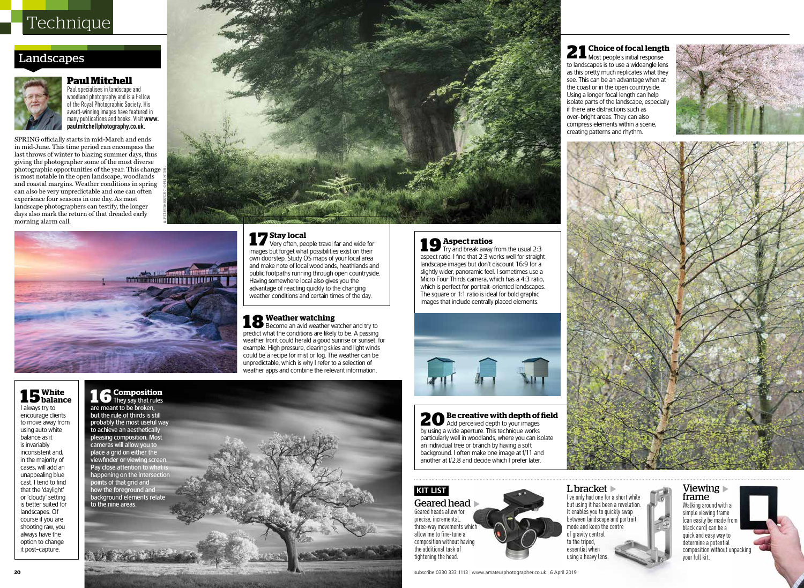# Landscapes



### **Paul Mitchell** Paul specialises in landscape and

woodland photography and is a Fellow of the Royal Photographic Society. His award-winning images have featured in many publications and books. Visit **www. paulmitchellphotography.co.uk**.

SPRING officially starts in mid-March and ends in mid-June. This time period can encompass the last throws of winter to blazing summer days, thus giving the photographer some of the most diverse photographic opportunities of the year. This change is most notable in the open landscape, woodlands and coastal margins. Weather conditions in spring can also be very unpredictable and one can often experience four seasons in one day. As most landscape photographers can testify, the longer days also mark the return of that dreaded early morning alarm call.



all pictures on pages 20-21 © paul mitchell

17 **Stay local**<br>
Very often, people travel far and wide for images but forget what possibilities exist on their own doorstep. Study OS maps of your local area and make note of local woodlands, heathlands and public footpaths running through open countryside. Having somewhere local also gives you the advantage of reacting quickly to the changing weather conditions and certain times of the day.

18 **Weather watching**<br> **18** Become an avid weather watcher and try to predict what the conditions are likely to be. A passing weather front could herald a good sunrise or sunset, for example. High pressure, clearing skies and light winds could be a recipe for mist or fog. The weather can be unpredictable, which is why I refer to a selection of weather apps and combine the relevant information.

# **1 5 White balance**

I always try to encourage clients to move away from using auto white balance as it is invariably inconsistent and, in the majority of cases, will add an unappealing blue cast. I tend to find that the 'daylight' or 'cloudy' setting is better suited for landscapes. Of course if you are shooting raw, you always have the option to change it post-capture.

**1 6 Composition** They say that rules are meant to be broken, but the rule of thirds is still probably the most useful way to achieve an aesthetically pleasing composition. Most cameras will allow you to place a grid on either the viewfinder or viewing screen. Pay close attention to what is happening on the intersection points of that grid and how the foreground and

background elements relate to the nine areas.



19 **Aspect ratios**<br>Try and break away from the usual 2:3 aspect ratio. I find that 2:3 works well for straight landscape images but don't discount 16:9 for a slightly wider, panoramic feel. I sometimes use a Micro Four Thirds camera, which has a 4:3 ratio, which is perfect for portrait-oriented landscapes. The square or 1:1 ratio is ideal for bold graphic images that include centrally placed elements.

20 **Be creative with depth of field**<br> **20** Add perceived depth to your images by using a wide aperture. This technique works particularly well in woodlands, where you can isolate an individual tree or branch by having a soft background. I often make one image at f/11 and another at f/2.8 and decide which I prefer later.

### **kit list**

Geared head  $\blacktriangleright$ Geared heads allow for precise, incremental, three-way movements which allow me to fine-tune a composition without having the additional task of tightening the head.

subscribe 0330 333 1113 | www.amateurphotographer.co.uk | 6 April 2019

### **2 1 Choice of focal length** Most people's initial response to landscapes is to use a wideangle lens as this pretty much replicates what they see. This can be an advantage when at the coast or in the open countryside. Using a longer focal length can help isolate parts of the landscape, especially if there are distractions such as over-bright areas. They can also compress elements within a scene, creating patterns and rhythm.

L bracket

I've only had one for a short while but using it has been a revelation. It enables you to quickly swap between landscape and portrait mode and keep the centre of gravity central to the tripod, essential when using a heavy lens.





### Viewing frame Walking around with a simple viewing frame (can easily be made from black card) can be a quick and easy way to determine a potential composition without unpacking your full kit.

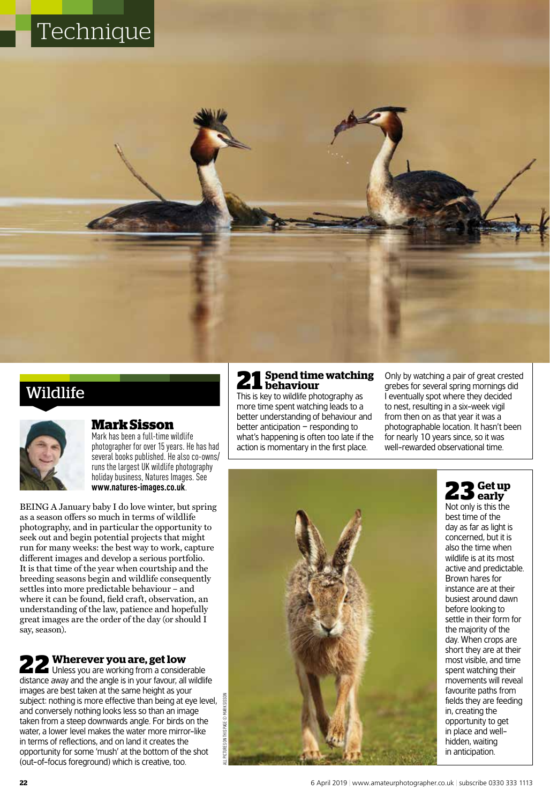# Wildlife



### **Mark Sisson**

Mark has been a full-time wildlife photographer for over 15 years. He has had several books published. He also co-owns/ runs the largest UK wildlife photography holiday business, Natures Images. See **www.natures-images.co.uk**.

BEING A January baby I do love winter, but spring as a season offers so much in terms of wildlife photography, and in particular the opportunity to seek out and begin potential projects that might run for many weeks: the best way to work, capture different images and develop a serious portfolio. It is that time of the year when courtship and the breeding seasons begin and wildlife consequently settles into more predictable behaviour – and where it can be found, field craft, observation, an understanding of the law, patience and hopefully great images are the order of the day (or should I say, season).

22 **Wherever you are, get low**<br>
Unless you are working from a considerable distance away and the angle is in your favour, all wildlife images are best taken at the same height as your subject: nothing is more effective than being at eye level, and conversely nothing looks less so than an image taken from a steep downwards angle. For birds on the water, a lower level makes the water more mirror-like in terms of reflections, and on land it creates the opportunity for some 'mush' at the bottom of the shot (out-of-focus foreground) which is creative, too.

### **21 Spend time watching behaviour**

This is key to wildlife photography as more time spent watching leads to a better understanding of behaviour and better anticipation – responding to what's happening is often too late if the action is momentary in the first place.

Only by watching a pair of great crested grebes for several spring mornings did I eventually spot where they decided to nest, resulting in a six-week vigil from then on as that year it was a photographable location. It hasn't been for nearly 10 years since, so it was well-rewarded observational time.



**23 Get up early**

Not only is this the best time of the day as far as light is concerned, but it is also the time when wildlife is at its most active and predictable. Brown hares for instance are at their busiest around dawn before looking to settle in their form for the majority of the day. When crops are short they are at their most visible, and time spent watching their movements will reveal favourite paths from fields they are feeding in, creating the opportunity to get in place and wellhidden, waiting in anticipation.